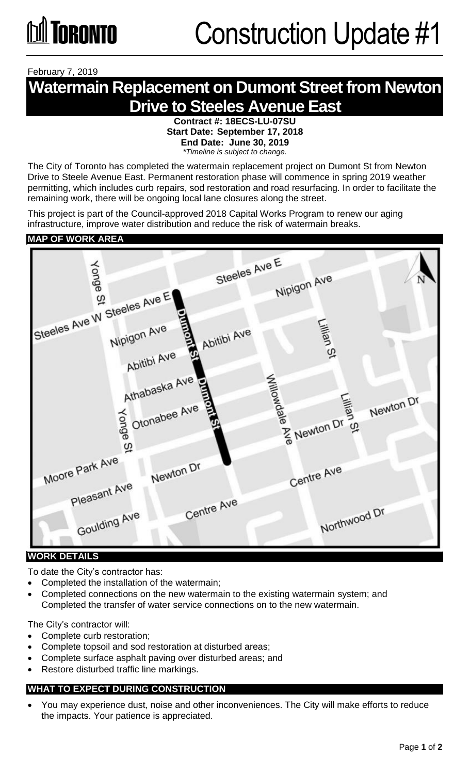February 7, 2019

### **Watermain Replacement on Dumont Street from Newton Drive to Steeles Avenue East**

**Contract #: 18ECS-LU-07SU Start Date: September 17, 2018 End Date: June 30, 2019** *\*Timeline is subject to change.* 

The City of Toronto has completed the watermain replacement project on Dumont St from Newton Drive to Steele Avenue East. Permanent restoration phase will commence in spring 2019 weather permitting, which includes curb repairs, sod restoration and road resurfacing. In order to facilitate the remaining work, there will be ongoing local lane closures along the street.

This project is part of the Council-approved 2018 Capital Works Program to renew our aging infrastructure, improve water distribution and reduce the risk of watermain breaks.

#### **MAP OF WORK AREA**



#### **WORK DETAILS**

To date the City's contractor has:

- Completed the installation of the watermain;
- Completed connections on the new watermain to the existing watermain system; and Completed the transfer of water service connections on to the new watermain.

The City's contractor will:

- Complete curb restoration;
- Complete topsoil and sod restoration at disturbed areas;
- Complete surface asphalt paving over disturbed areas; and
- Restore disturbed traffic line markings.

#### **WHAT TO EXPECT DURING CONSTRUCTION**

 You may experience dust, noise and other inconveniences. The City will make efforts to reduce the impacts. Your patience is appreciated.